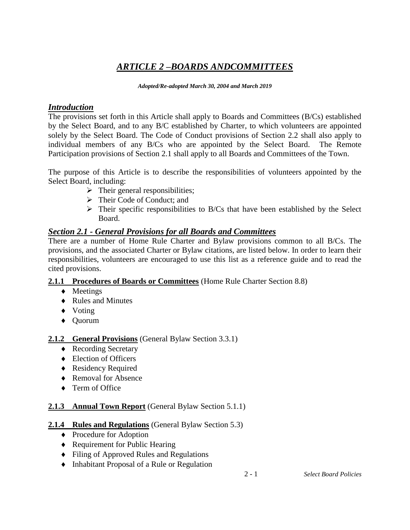# *ARTICLE 2 –BOARDS ANDCOMMITTEES*

#### *Adopted/Re-adopted March 30, 2004 and March 2019*

## *Introduction*

The provisions set forth in this Article shall apply to Boards and Committees (B/Cs) established by the Select Board, and to any B/C established by Charter, to which volunteers are appointed solely by the Select Board. The Code of Conduct provisions of Section 2.2 shall also apply to individual members of any B/Cs who are appointed by the Select Board. The Remote Participation provisions of Section 2.1 shall apply to all Boards and Committees of the Town.

The purpose of this Article is to describe the responsibilities of volunteers appointed by the Select Board, including:

- $\triangleright$  Their general responsibilities;
- Their Code of Conduct; and
- $\triangleright$  Their specific responsibilities to B/Cs that have been established by the Select Board.

## *Section 2.1 - General Provisions for all Boards and Committees*

There are a number of Home Rule Charter and Bylaw provisions common to all B/Cs. The provisions, and the associated Charter or Bylaw citations, are listed below. In order to learn their responsibilities, volunteers are encouraged to use this list as a reference guide and to read the cited provisions.

### **2.1.1 Procedures of Boards or Committees** (Home Rule Charter Section 8.8)

- Meetings
- ◆ Rules and Minutes
- Voting
- Quorum

## **2.1.2 General Provisions** (General Bylaw Section 3.3.1)

- ◆ Recording Secretary
- Election of Officers
- ◆ Residency Required
- ◆ Removal for Absence
- ◆ Term of Office

## **2.1.3 Annual Town Report** (General Bylaw Section 5.1.1)

## **2.1.4 Rules and Regulations** (General Bylaw Section 5.3)

- ◆ Procedure for Adoption
- ◆ Requirement for Public Hearing
- Filing of Approved Rules and Regulations
- Inhabitant Proposal of a Rule or Regulation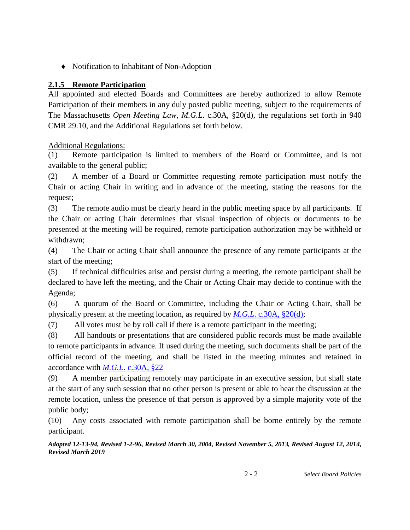Notification to Inhabitant of Non-Adoption

#### **2.1.5 Remote Participation**

All appointed and elected Boards and Committees are hereby authorized to allow Remote Participation of their members in any duly posted public meeting, subject to the requirements of The Massachusetts *Open Meeting Law, M.G.L*. c.30A, §20(d), the regulations set forth in 940 CMR 29.10, and the Additional Regulations set forth below.

Additional Regulations:

(1) Remote participation is limited to members of the Board or Committee, and is not available to the general public;

(2) A member of a Board or Committee requesting remote participation must notify the Chair or acting Chair in writing and in advance of the meeting, stating the reasons for the request;

(3) The remote audio must be clearly heard in the public meeting space by all participants. If the Chair or acting Chair determines that visual inspection of objects or documents to be presented at the meeting will be required, remote participation authorization may be withheld or withdrawn;

(4) The Chair or acting Chair shall announce the presence of any remote participants at the start of the meeting;

(5) If technical difficulties arise and persist during a meeting, the remote participant shall be declared to have left the meeting, and the Chair or Acting Chair may decide to continue with the Agenda;

(6) A quorum of the Board or Committee, including the Chair or Acting Chair, shall be physically present at the meeting location, as required by *M.G.L*[. c.30A, §20\(d\);](http://www.mass.gov/ago/government-resources/open-meeting-law/open-meeting-law-mgl-c-30a-18-25.html)

(7) All votes must be by roll call if there is a remote participant in the meeting;

(8) All handouts or presentations that are considered public records must be made available to remote participants in advance. If used during the meeting, such documents shall be part of the official record of the meeting, and shall be listed in the meeting minutes and retained in accordance with *M.G.L*[. c.30A, §22](http://www.mass.gov/ago/government-resources/open-meeting-law/open-meeting-law-mgl-c-30a-18-25.html)

(9) A member participating remotely may participate in an executive session, but shall state at the start of any such session that no other person is present or able to hear the discussion at the remote location, unless the presence of that person is approved by a simple majority vote of the public body;

(10) Any costs associated with remote participation shall be borne entirely by the remote participant.

*Adopted 12-13-94, Revised 1-2-96, Revised March 30, 2004, Revised November 5, 2013, Revised August 12, 2014, Revised March 2019*

2 - 2 *Select Board Policies*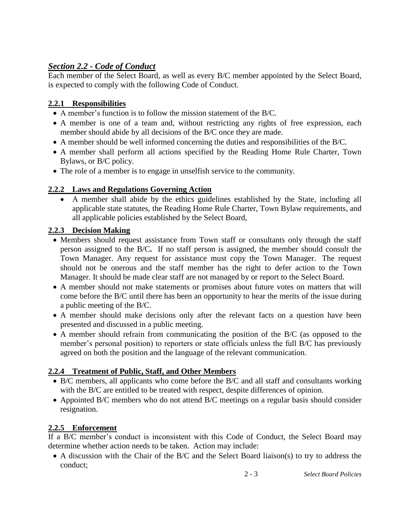# *Section 2.2 - Code of Conduct*

Each member of the Select Board, as well as every B/C member appointed by the Select Board, is expected to comply with the following Code of Conduct.

### **2.2.1 Responsibilities**

- A member's function is to follow the mission statement of the B/C.
- A member is one of a team and, without restricting any rights of free expression, each member should abide by all decisions of the B/C once they are made.
- A member should be well informed concerning the duties and responsibilities of the B/C.
- A member shall perform all actions specified by the Reading Home Rule Charter, Town Bylaws, or B/C policy.
- The role of a member is to engage in unselfish service to the community.

### **2.2.2 Laws and Regulations Governing Action**

 A member shall abide by the ethics guidelines established by the State, including all applicable state statutes, the Reading Home Rule Charter, Town Bylaw requirements, and all applicable policies established by the Select Board,

### **2.2.3 Decision Making**

- Members should request assistance from Town staff or consultants only through the staff person assigned to the B/C**.** If no staff person is assigned, the member should consult the Town Manager. Any request for assistance must copy the Town Manager. The request should not be onerous and the staff member has the right to defer action to the Town Manager. It should be made clear staff are not managed by or report to the Select Board.
- A member should not make statements or promises about future votes on matters that will come before the B/C until there has been an opportunity to hear the merits of the issue during a public meeting of the B/C.
- A member should make decisions only after the relevant facts on a question have been presented and discussed in a public meeting.
- A member should refrain from communicating the position of the B/C (as opposed to the member's personal position) to reporters or state officials unless the full B/C has previously agreed on both the position and the language of the relevant communication.

### **2.2.4 Treatment of Public, Staff, and Other Members**

- B/C members, all applicants who come before the B/C and all staff and consultants working with the B/C are entitled to be treated with respect, despite differences of opinion.
- Appointed B/C members who do not attend B/C meetings on a regular basis should consider resignation.

### **2.2.5 Enforcement**

If a B/C member's conduct is inconsistent with this Code of Conduct, the Select Board may determine whether action needs to be taken. Action may include:

 A discussion with the Chair of the B/C and the Select Board liaison(s) to try to address the conduct;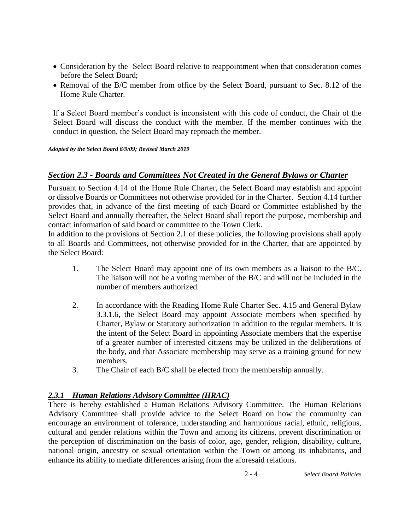- Consideration by the Select Board relative to reappointment when that consideration comes before the Select Board;
- Removal of the B/C member from office by the Select Board, pursuant to Sec. 8.12 of the Home Rule Charter.

If a Select Board member's conduct is inconsistent with this code of conduct, the Chair of the Select Board will discuss the conduct with the member. If the member continues with the conduct in question, the Select Board may reproach the member.

#### *Adopted by the Select Board 6/9/09; Revised March 2019*

#### *Section 2.3 - Boards and Committees Not Created in the General Bylaws or Charter*

Pursuant to Section 4.14 of the Home Rule Charter, the Select Board may establish and appoint or dissolve Boards or Committees not otherwise provided for in the Charter. Section 4.14 further provides that, in advance of the first meeting of each Board or Committee established by the Select Board and annually thereafter, the Select Board shall report the purpose, membership and contact information of said board or committee to the Town Clerk.

In addition to the provisions of Section 2.1 of these policies, the following provisions shall apply to all Boards and Committees, not otherwise provided for in the Charter, that are appointed by the Select Board:

- 1. The Select Board may appoint one of its own members as a liaison to the B/C. The liaison will not be a voting member of the B/C and will not be included in the number of members authorized.
- 2. In accordance with the Reading Home Rule Charter Sec. 4.15 and General Bylaw 3.3.1.6, the Select Board may appoint Associate members when specified by Charter, Bylaw or Statutory authorization in addition to the regular members. It is the intent of the Select Board in appointing Associate members that the expertise of a greater number of interested citizens may be utilized in the deliberations of the body, and that Associate membership may serve as a training ground for new members.
- 3. The Chair of each B/C shall be elected from the membership annually.

#### *2.3.1 Human Relations Advisory Committee (HRAC)*

There is hereby established a Human Relations Advisory Committee. The Human Relations Advisory Committee shall provide advice to the Select Board on how the community can encourage an environment of tolerance, understanding and harmonious racial, ethnic, religious, cultural and gender relations within the Town and among its citizens, prevent discrimination or the perception of discrimination on the basis of color, age, gender, religion, disability, culture, national origin, ancestry or sexual orientation within the Town or among its inhabitants, and enhance its ability to mediate differences arising from the aforesaid relations.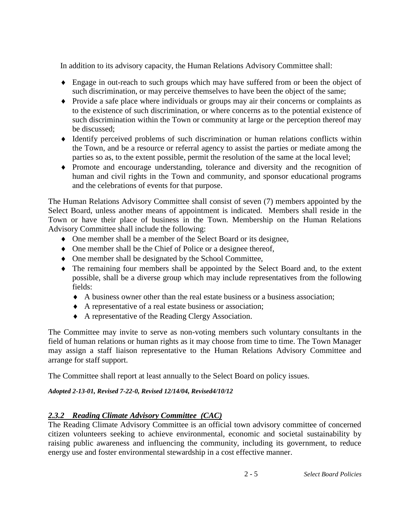In addition to its advisory capacity, the Human Relations Advisory Committee shall:

- Engage in out-reach to such groups which may have suffered from or been the object of such discrimination, or may perceive themselves to have been the object of the same;
- Provide a safe place where individuals or groups may air their concerns or complaints as to the existence of such discrimination, or where concerns as to the potential existence of such discrimination within the Town or community at large or the perception thereof may be discussed;
- Identify perceived problems of such discrimination or human relations conflicts within the Town, and be a resource or referral agency to assist the parties or mediate among the parties so as, to the extent possible, permit the resolution of the same at the local level;
- Promote and encourage understanding, tolerance and diversity and the recognition of human and civil rights in the Town and community, and sponsor educational programs and the celebrations of events for that purpose.

The Human Relations Advisory Committee shall consist of seven (7) members appointed by the Select Board, unless another means of appointment is indicated.Members shall reside in the Town or have their place of business in the Town. Membership on the Human Relations Advisory Committee shall include the following:

- One member shall be a member of the Select Board or its designee,
- One member shall be the Chief of Police or a designee thereof,
- One member shall be designated by the School Committee,
- The remaining four members shall be appointed by the Select Board and, to the extent possible, shall be a diverse group which may include representatives from the following fields:
	- $\blacklozenge$  A business owner other than the real estate business or a business association:
	- A representative of a real estate business or association;
	- A representative of the Reading Clergy Association.

The Committee may invite to serve as non-voting members such voluntary consultants in the field of human relations or human rights as it may choose from time to time. The Town Manager may assign a staff liaison representative to the Human Relations Advisory Committee and arrange for staff support.

The Committee shall report at least annually to the Select Board on policy issues.

### *Adopted 2-13-01, Revised 7-22-0, Revised 12/14/04, Revised4/10/12*

## *2.3.2 Reading Climate Advisory Committee (CAC)*

The Reading Climate Advisory Committee is an official town advisory committee of concerned citizen volunteers seeking to achieve environmental, economic and societal sustainability by raising public awareness and influencing the community, including its government, to reduce energy use and foster environmental stewardship in a cost effective manner.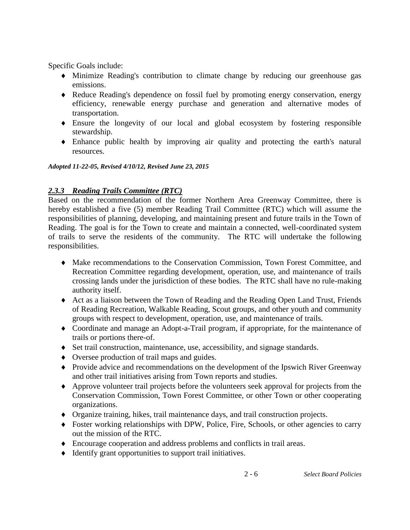Specific Goals include:

- Minimize Reading's contribution to climate change by reducing our greenhouse gas emissions.
- Reduce Reading's dependence on fossil fuel by promoting energy conservation, energy efficiency, renewable energy purchase and generation and alternative modes of transportation.
- Ensure the longevity of our local and global ecosystem by fostering responsible stewardship.
- Enhance public health by improving air quality and protecting the earth's natural resources.

*Adopted 11-22-05, Revised 4/10/12, Revised June 23, 2015*

### *2.3.3 Reading Trails Committee (RTC)*

Based on the recommendation of the former Northern Area Greenway Committee, there is hereby established a five (5) member Reading Trail Committee (RTC) which will assume the responsibilities of planning, developing, and maintaining present and future trails in the Town of Reading. The goal is for the Town to create and maintain a connected, well-coordinated system of trails to serve the residents of the community. The RTC will undertake the following responsibilities.

- Make recommendations to the Conservation Commission, Town Forest Committee, and Recreation Committee regarding development, operation, use, and maintenance of trails crossing lands under the jurisdiction of these bodies. The RTC shall have no rule-making authority itself.
- Act as a liaison between the Town of Reading and the Reading Open Land Trust, Friends of Reading Recreation, Walkable Reading, Scout groups, and other youth and community groups with respect to development, operation, use, and maintenance of trails.
- Coordinate and manage an Adopt-a-Trail program, if appropriate, for the maintenance of trails or portions there-of.
- Set trail construction, maintenance, use, accessibility, and signage standards.
- Oversee production of trail maps and guides.
- Provide advice and recommendations on the development of the Ipswich River Greenway and other trail initiatives arising from Town reports and studies.
- Approve volunteer trail projects before the volunteers seek approval for projects from the Conservation Commission, Town Forest Committee, or other Town or other cooperating organizations.
- Organize training, hikes, trail maintenance days, and trail construction projects.
- Foster working relationships with DPW, Police, Fire, Schools, or other agencies to carry out the mission of the RTC.
- Encourage cooperation and address problems and conflicts in trail areas.
- Identify grant opportunities to support trail initiatives.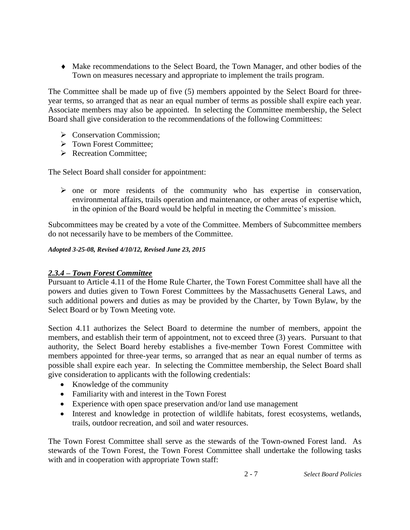Make recommendations to the Select Board, the Town Manager, and other bodies of the Town on measures necessary and appropriate to implement the trails program.

The Committee shall be made up of five (5) members appointed by the Select Board for threeyear terms, so arranged that as near an equal number of terms as possible shall expire each year. Associate members may also be appointed. In selecting the Committee membership, the Select Board shall give consideration to the recommendations of the following Committees:

- $\triangleright$  Conservation Commission;
- **Formally** Town Forest Committee;
- Recreation Committee:

The Select Board shall consider for appointment:

 $\triangleright$  one or more residents of the community who has expertise in conservation, environmental affairs, trails operation and maintenance, or other areas of expertise which, in the opinion of the Board would be helpful in meeting the Committee's mission.

Subcommittees may be created by a vote of the Committee. Members of Subcommittee members do not necessarily have to be members of the Committee.

*Adopted 3-25-08, Revised 4/10/12, Revised June 23, 2015*

#### *2.3.4 – Town Forest Committee*

Pursuant to Article 4.11 of the Home Rule Charter, the Town Forest Committee shall have all the powers and duties given to Town Forest Committees by the Massachusetts General Laws, and such additional powers and duties as may be provided by the Charter, by Town Bylaw, by the Select Board or by Town Meeting vote.

Section 4.11 authorizes the Select Board to determine the number of members, appoint the members, and establish their term of appointment, not to exceed three (3) years. Pursuant to that authority, the Select Board hereby establishes a five-member Town Forest Committee with members appointed for three-year terms, so arranged that as near an equal number of terms as possible shall expire each year. In selecting the Committee membership, the Select Board shall give consideration to applicants with the following credentials:

- Knowledge of the community
- Familiarity with and interest in the Town Forest
- Experience with open space preservation and/or land use management
- Interest and knowledge in protection of wildlife habitats, forest ecosystems, wetlands, trails, outdoor recreation, and soil and water resources.

The Town Forest Committee shall serve as the stewards of the Town-owned Forest land. As stewards of the Town Forest, the Town Forest Committee shall undertake the following tasks with and in cooperation with appropriate Town staff: